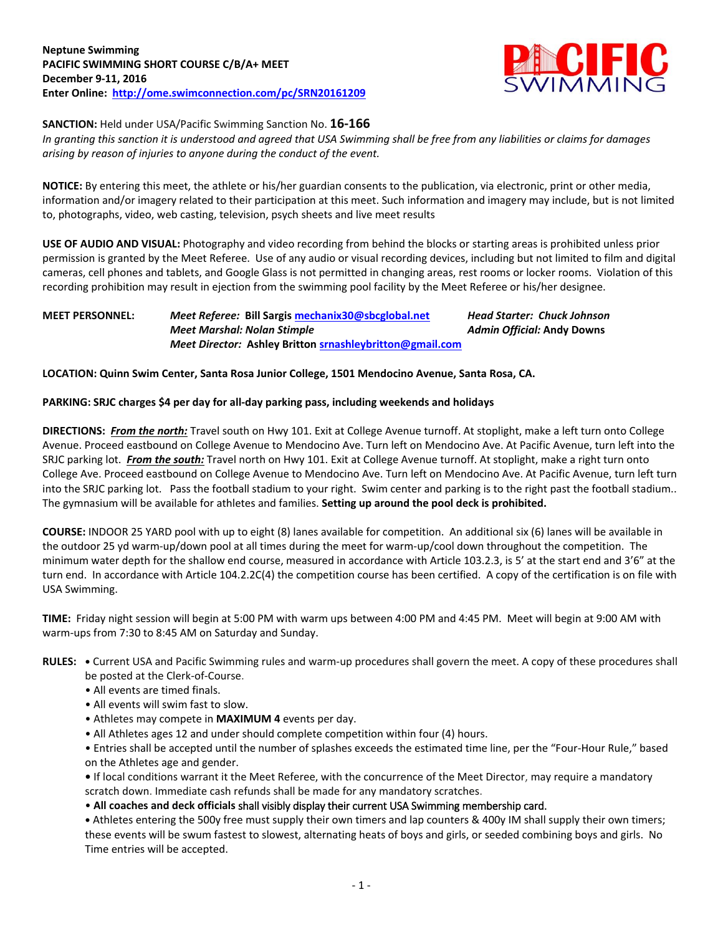

**SANCTION:** Held under USA/Pacific Swimming Sanction No. **16-166**

*In granting this sanction it is understood and agreed that USA Swimming shall be free from any liabilities or claims for damages arising by reason of injuries to anyone during the conduct of the event.*

**NOTICE:** By entering this meet, the athlete or his/her guardian consents to the publication, via electronic, print or other media, information and/or imagery related to their participation at this meet. Such information and imagery may include, but is not limited to, photographs, video, web casting, television, psych sheets and live meet results

**USE OF AUDIO AND VISUAL:** Photography and video recording from behind the blocks or starting areas is prohibited unless prior permission is granted by the Meet Referee. Use of any audio or visual recording devices, including but not limited to film and digital cameras, cell phones and tablets, and Google Glass is not permitted in changing areas, rest rooms or locker rooms. Violation of this recording prohibition may result in ejection from the swimming pool facility by the Meet Referee or his/her designee.

## **MEET PERSONNEL:** *Meet Referee:* **Bill Sargi[s mechanix30@sbcglobal.net](mailto:mechanix30@sbcglobal.net)** *Head Starter: Chuck Johnson Meet Marshal: Nolan Stimple Admin Official:* **Andy Downs** *Meet Director:* **Ashley Britton [srnashleybritton@gmail.com](mailto:srnashleybritton@gmail.com)**

**LOCATION: Quinn Swim Center, Santa Rosa Junior College, 1501 Mendocino Avenue, Santa Rosa, CA.**

## **PARKING: SRJC charges \$4 per day for all-day parking pass, including weekends and holidays**

**DIRECTIONS:** *From the north:* Travel south on Hwy 101. Exit at College Avenue turnoff. At stoplight, make a left turn onto College Avenue. Proceed eastbound on College Avenue to Mendocino Ave. Turn left on Mendocino Ave. At Pacific Avenue, turn left into the SRJC parking lot. *From the south:* Travel north on Hwy 101. Exit at College Avenue turnoff. At stoplight, make a right turn onto College Ave. Proceed eastbound on College Avenue to Mendocino Ave. Turn left on Mendocino Ave. At Pacific Avenue, turn left turn into the SRJC parking lot. Pass the football stadium to your right. Swim center and parking is to the right past the football stadium.. The gymnasium will be available for athletes and families. **Setting up around the pool deck is prohibited.**

**COURSE:** INDOOR 25 YARD pool with up to eight (8) lanes available for competition. An additional six (6) lanes will be available in the outdoor 25 yd warm-up/down pool at all times during the meet for warm-up/cool down throughout the competition. The minimum water depth for the shallow end course, measured in accordance with Article 103.2.3, is 5' at the start end and 3'6" at the turn end. In accordance with Article 104.2.2C(4) the competition course has been certified. A copy of the certification is on file with USA Swimming.

**TIME:** Friday night session will begin at 5:00 PM with warm ups between 4:00 PM and 4:45 PM. Meet will begin at 9:00 AM with warm-ups from 7:30 to 8:45 AM on Saturday and Sunday.

- **RULES: •** Current USA and Pacific Swimming rules and warm-up procedures shall govern the meet. A copy of these procedures shall be posted at the Clerk-of-Course.
	- All events are timed finals.
	- All events will swim fast to slow.
	- Athletes may compete in **MAXIMUM 4** events per day.
	- All Athletes ages 12 and under should complete competition within four (4) hours.

• Entries shall be accepted until the number of splashes exceeds the estimated time line, per the "Four-Hour Rule," based on the Athletes age and gender.

**•** If local conditions warrant it the Meet Referee, with the concurrence of the Meet Director, may require a mandatory scratch down. Immediate cash refunds shall be made for any mandatory scratches.

• **All coaches and deck officials** shall visibly display their current USA Swimming membership card.

**•** Athletes entering the 500y free must supply their own timers and lap counters & 400y IM shall supply their own timers; these events will be swum fastest to slowest, alternating heats of boys and girls, or seeded combining boys and girls. No Time entries will be accepted.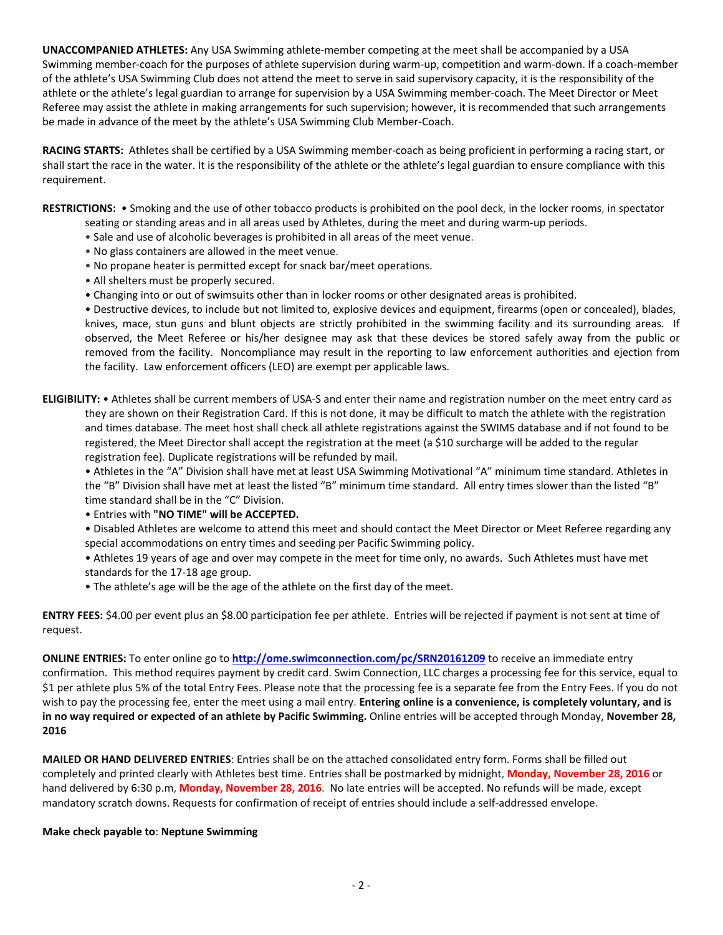**UNACCOMPANIED ATHLETES:** Any USA Swimming athlete-member competing at the meet shall be accompanied by a USA Swimming member-coach for the purposes of athlete supervision during warm-up, competition and warm-down. If a coach-member of the athlete's USA Swimming Club does not attend the meet to serve in said supervisory capacity, it is the responsibility of the athlete or the athlete's legal guardian to arrange for supervision by a USA Swimming member-coach. The Meet Director or Meet Referee may assist the athlete in making arrangements for such supervision; however, it is recommended that such arrangements be made in advance of the meet by the athlete's USA Swimming Club Member-Coach.

**RACING STARTS:** Athletes shall be certified by a USA Swimming member-coach as being proficient in performing a racing start, or shall start the race in the water. It is the responsibility of the athlete or the athlete's legal guardian to ensure compliance with this requirement.

**RESTRICTIONS:** • Smoking and the use of other tobacco products is prohibited on the pool deck, in the locker rooms, in spectator seating or standing areas and in all areas used by Athletes, during the meet and during warm-up periods.

- Sale and use of alcoholic beverages is prohibited in all areas of the meet venue.
- No glass containers are allowed in the meet venue.
- No propane heater is permitted except for snack bar/meet operations.
- All shelters must be properly secured.
- Changing into or out of swimsuits other than in locker rooms or other designated areas is prohibited.

• Destructive devices, to include but not limited to, explosive devices and equipment, firearms (open or concealed), blades, knives, mace, stun guns and blunt objects are strictly prohibited in the swimming facility and its surrounding areas. If observed, the Meet Referee or his/her designee may ask that these devices be stored safely away from the public or removed from the facility. Noncompliance may result in the reporting to law enforcement authorities and ejection from the facility. Law enforcement officers (LEO) are exempt per applicable laws.

**ELIGIBILITY:** • Athletes shall be current members of USA-S and enter their name and registration number on the meet entry card as they are shown on their Registration Card. If this is not done, it may be difficult to match the athlete with the registration and times database. The meet host shall check all athlete registrations against the SWIMS database and if not found to be registered, the Meet Director shall accept the registration at the meet (a \$10 surcharge will be added to the regular registration fee). Duplicate registrations will be refunded by mail.

• Athletes in the "A" Division shall have met at least USA Swimming Motivational "A" minimum time standard. Athletes in the "B" Division shall have met at least the listed "B" minimum time standard. All entry times slower than the listed "B" time standard shall be in the "C" Division.

• Entries with **"NO TIME" will be ACCEPTED.**

• Disabled Athletes are welcome to attend this meet and should contact the Meet Director or Meet Referee regarding any special accommodations on entry times and seeding per Pacific Swimming policy.

• Athletes 19 years of age and over may compete in the meet for time only, no awards. Such Athletes must have met standards for the 17-18 age group.

• The athlete's age will be the age of the athlete on the first day of the meet.

**ENTRY FEES:** \$4.00 per event plus an \$8.00 participation fee per athlete. Entries will be rejected if payment is not sent at time of request.

**ONLINE ENTRIES:** To enter online go to **[http://ome.swimconnection.com/pc/SRN20161209](http://ome.swimconnection.com/pc/SRN20156121109)** to receive an immediate entry confirmation. This method requires payment by credit card. Swim Connection, LLC charges a processing fee for this service, equal to \$1 per athlete plus 5% of the total Entry Fees. Please note that the processing fee is a separate fee from the Entry Fees. If you do not wish to pay the processing fee, enter the meet using a mail entry. **Entering online is a convenience, is completely voluntary, and is in no way required or expected of an athlete by Pacific Swimming.** Online entries will be accepted through Monday, **November 28, 2016**

**MAILED OR HAND DELIVERED ENTRIES**: Entries shall be on the attached consolidated entry form. Forms shall be filled out completely and printed clearly with Athletes best time. Entries shall be postmarked by midnight, **Monday, November 28, 2016** or hand delivered by 6:30 p.m, **Monday, November 28, 2016**. No late entries will be accepted. No refunds will be made, except mandatory scratch downs. Requests for confirmation of receipt of entries should include a self-addressed envelope.

## **Make check payable to**: **Neptune Swimming**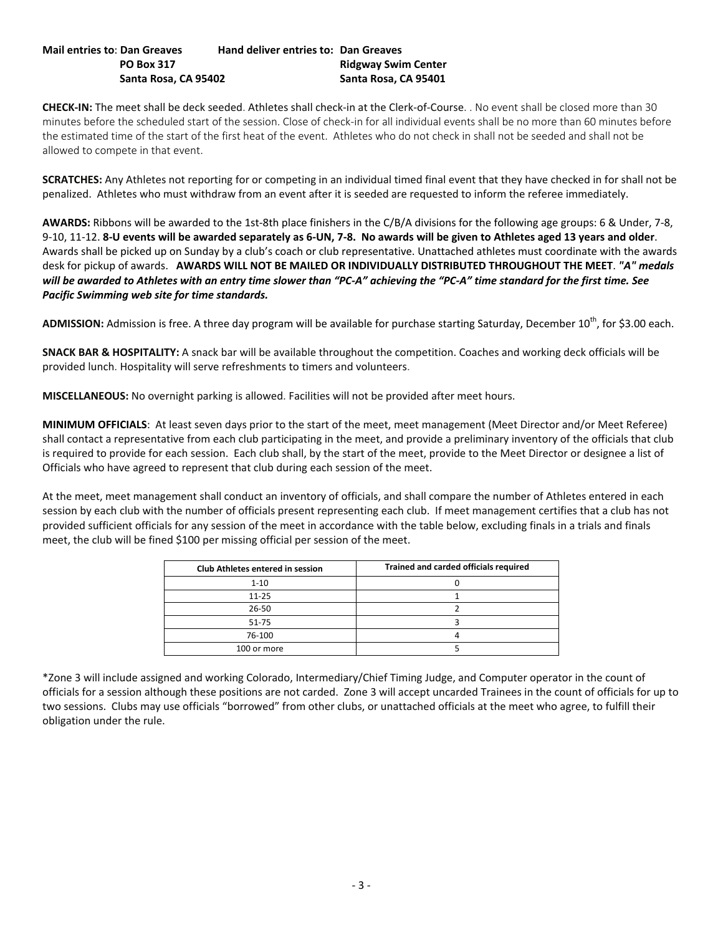### **Mail entries to**: **Dan Greaves Hand deliver entries to: Dan Greaves PO Box 317 Ridgway Swim Center Santa Rosa, CA 95402 Santa Rosa, CA 95401**

**CHECK-IN:** The meet shall be deck seeded. Athletes shall check-in at the Clerk-of-Course. . No event shall be closed more than 30 minutes before the scheduled start of the session. Close of check-in for all individual events shall be no more than 60 minutes before the estimated time of the start of the first heat of the event. Athletes who do not check in shall not be seeded and shall not be allowed to compete in that event.

**SCRATCHES:** Any Athletes not reporting for or competing in an individual timed final event that they have checked in for shall not be penalized. Athletes who must withdraw from an event after it is seeded are requested to inform the referee immediately.

**AWARDS:** Ribbons will be awarded to the 1st-8th place finishers in the C/B/A divisions for the following age groups: 6 & Under, 7-8, 9-10, 11-12. **8-U events will be awarded separately as 6-UN, 7-8. No awards will be given to Athletes aged 13 years and older**. Awards shall be picked up on Sunday by a club's coach or club representative. Unattached athletes must coordinate with the awards desk for pickup of awards. **AWARDS WILL NOT BE MAILED OR INDIVIDUALLY DISTRIBUTED THROUGHOUT THE MEET**. *"A" medals will be awarded to Athletes with an entry time slower than "PC-A" achieving the "PC-A" time standard for the first time. See Pacific Swimming web site for time standards.*

ADMISSION: Admission is free. A three day program will be available for purchase starting Saturday, December 10<sup>th</sup>, for \$3.00 each.

**SNACK BAR & HOSPITALITY:** A snack bar will be available throughout the competition. Coaches and working deck officials will be provided lunch. Hospitality will serve refreshments to timers and volunteers.

**MISCELLANEOUS:** No overnight parking is allowed. Facilities will not be provided after meet hours.

**MINIMUM OFFICIALS**: At least seven days prior to the start of the meet, meet management (Meet Director and/or Meet Referee) shall contact a representative from each club participating in the meet, and provide a preliminary inventory of the officials that club is required to provide for each session. Each club shall, by the start of the meet, provide to the Meet Director or designee a list of Officials who have agreed to represent that club during each session of the meet.

At the meet, meet management shall conduct an inventory of officials, and shall compare the number of Athletes entered in each session by each club with the number of officials present representing each club. If meet management certifies that a club has not provided sufficient officials for any session of the meet in accordance with the table below, excluding finals in a trials and finals meet, the club will be fined \$100 per missing official per session of the meet.

| Club Athletes entered in session | Trained and carded officials required |
|----------------------------------|---------------------------------------|
| $1 - 10$                         |                                       |
| $11 - 25$                        |                                       |
| 26-50                            |                                       |
| $51 - 75$                        |                                       |
| 76-100                           |                                       |
| 100 or more                      |                                       |

\*Zone 3 will include assigned and working Colorado, Intermediary/Chief Timing Judge, and Computer operator in the count of officials for a session although these positions are not carded. Zone 3 will accept uncarded Trainees in the count of officials for up to two sessions. Clubs may use officials "borrowed" from other clubs, or unattached officials at the meet who agree, to fulfill their obligation under the rule.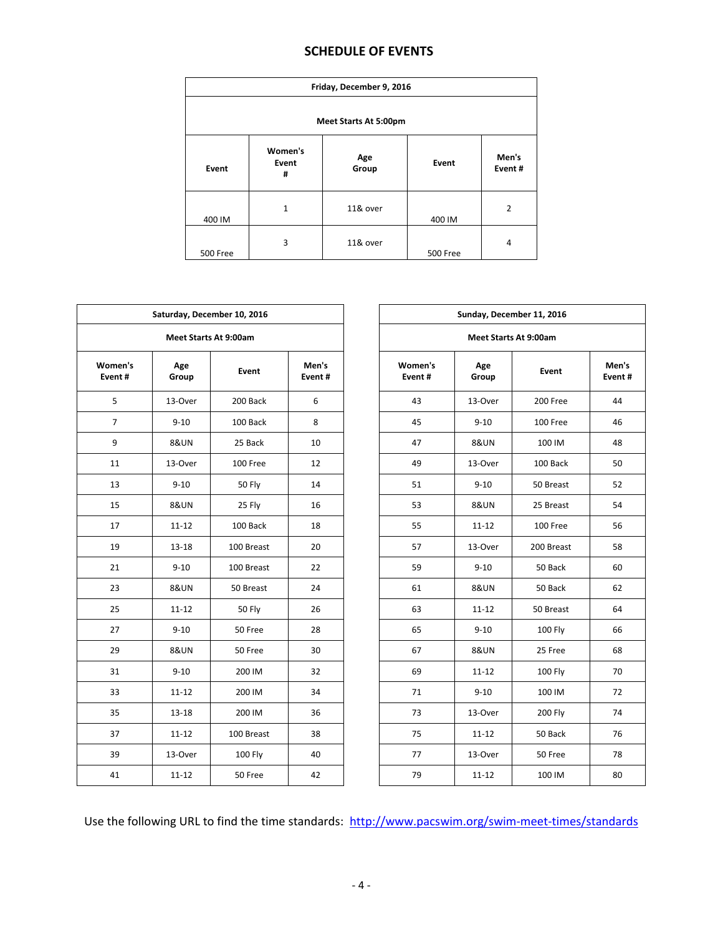# **SCHEDULE OF EVENTS**

| Friday, December 9, 2016 |                       |              |          |                 |  |  |  |  |  |
|--------------------------|-----------------------|--------------|----------|-----------------|--|--|--|--|--|
| Meet Starts At 5:00pm    |                       |              |          |                 |  |  |  |  |  |
| Event                    | Women's<br>Event<br># | Age<br>Group | Event    | Men's<br>Event# |  |  |  |  |  |
| 400 IM                   | 1                     | 11& over     | 400 IM   | $\overline{2}$  |  |  |  |  |  |
| 500 Free                 | 3                     | 11& over     | 500 Free | $\overline{4}$  |  |  |  |  |  |

| Saturday, December 10, 2016 |                 |               |                 |  | Sunday, December 11, 2016 |                 |                |                 |  |  |  |
|-----------------------------|-----------------|---------------|-----------------|--|---------------------------|-----------------|----------------|-----------------|--|--|--|
| Meet Starts At 9:00am       |                 |               |                 |  | Meet Starts At 9:00am     |                 |                |                 |  |  |  |
| Women's<br>Event#           | Age<br>Group    | Event         | Men's<br>Event# |  | Women's<br>Event#         | Age<br>Group    | Event          | Men's<br>Event# |  |  |  |
| 5                           | 13-Over         | 200 Back      | 6               |  | 43                        | 13-Over         | 200 Free       | 44              |  |  |  |
| $\overline{7}$              | $9 - 10$        | 100 Back      | 8               |  | 45                        | $9 - 10$        | 100 Free       | 46              |  |  |  |
| 9                           | <b>8&amp;UN</b> | 25 Back       | 10              |  | 47                        | <b>8&amp;UN</b> | 100 IM         | 48              |  |  |  |
| 11                          | 13-Over         | 100 Free      | 12              |  | 49                        | 13-Over         | 100 Back       | 50              |  |  |  |
| 13                          | $9 - 10$        | <b>50 Fly</b> | 14              |  | 51                        | $9 - 10$        | 50 Breast      | 52              |  |  |  |
| 15                          | <b>8&amp;UN</b> | 25 Fly        | 16              |  | 53                        | <b>8&amp;UN</b> | 25 Breast      | 54              |  |  |  |
| 17                          | $11 - 12$       | 100 Back      | 18              |  | 55                        | $11 - 12$       | 100 Free       | 56              |  |  |  |
| 19                          | $13 - 18$       | 100 Breast    | 20              |  | 57                        | 13-Over         | 200 Breast     | 58              |  |  |  |
| 21                          | $9 - 10$        | 100 Breast    | 22              |  | 59                        | $9 - 10$        | 50 Back        | 60              |  |  |  |
| 23                          | <b>8&amp;UN</b> | 50 Breast     | 24              |  | 61                        | <b>8&amp;UN</b> | 50 Back        | 62              |  |  |  |
| 25                          | $11 - 12$       | 50 Fly        | 26              |  | 63                        | $11 - 12$       | 50 Breast      | 64              |  |  |  |
| 27                          | $9 - 10$        | 50 Free       | 28              |  | 65                        | $9 - 10$        | <b>100 Fly</b> | 66              |  |  |  |
| 29                          | <b>8&amp;UN</b> | 50 Free       | 30              |  | 67                        | <b>8&amp;UN</b> | 25 Free        | 68              |  |  |  |
| 31                          | $9 - 10$        | 200 IM        | 32              |  | 69                        | $11 - 12$       | 100 Fly        | 70              |  |  |  |
| 33                          | $11 - 12$       | 200 IM        | 34              |  | 71                        | $9 - 10$        | 100 IM         | 72              |  |  |  |
| 35                          | $13 - 18$       | 200 IM        | 36              |  | 73                        | 13-Over         | <b>200 Fly</b> | 74              |  |  |  |
| 37                          | $11 - 12$       | 100 Breast    | 38              |  | 75                        | $11 - 12$       | 50 Back        | 76              |  |  |  |
| 39                          | 13-Over         | 100 Fly       | 40              |  | 77                        | 13-Over         | 50 Free        | 78              |  |  |  |
| 41                          | $11 - 12$       | 50 Free       | 42              |  | 79                        | $11 - 12$       | 100 IM         | 80              |  |  |  |

Use the following URL to find the time standards: <http://www.pacswim.org/swim-meet-times/standards>